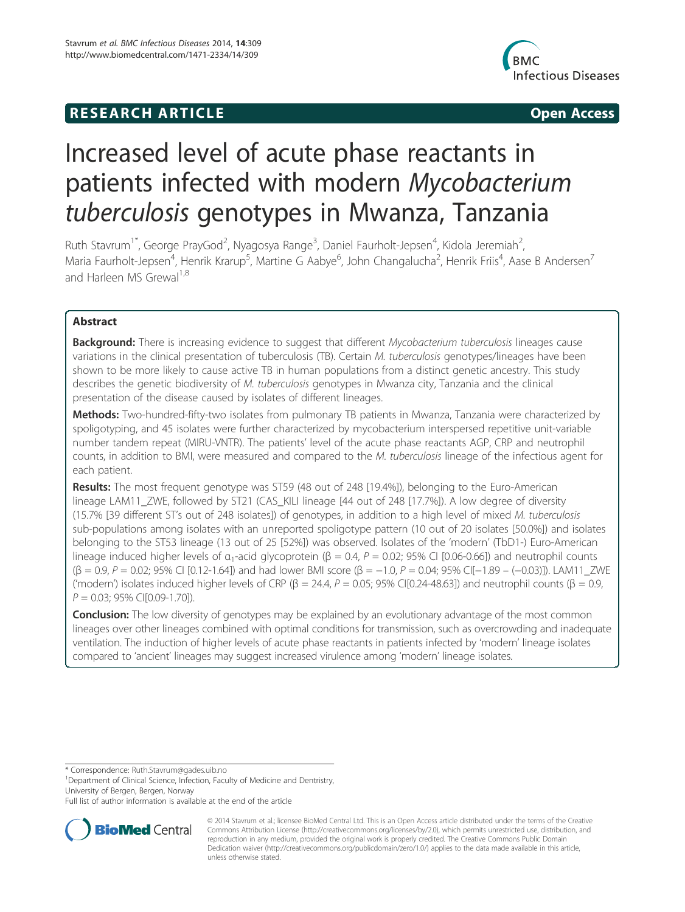# **RESEARCH ARTICLE Example 2014 12:30 The SEAR CHA RESEARCH ARTICLE**



# Increased level of acute phase reactants in patients infected with modern Mycobacterium tuberculosis genotypes in Mwanza, Tanzania

Ruth Stavrum<sup>1\*</sup>, George PrayGod<sup>2</sup>, Nyagosya Range<sup>3</sup>, Daniel Faurholt-Jepsen<sup>4</sup>, Kidola Jeremiah<sup>2</sup> , Maria Faurholt-Jepsen<sup>4</sup>, Henrik Krarup<sup>5</sup>, Martine G Aabye<sup>6</sup>, John Changalucha<sup>2</sup>, Henrik Friis<sup>4</sup>, Aase B Andersen<sup>7</sup> and Harleen MS Grewal<sup>1,8</sup>

# Abstract

Background: There is increasing evidence to suggest that different Mycobacterium tuberculosis lineages cause variations in the clinical presentation of tuberculosis (TB). Certain M. tuberculosis genotypes/lineages have been shown to be more likely to cause active TB in human populations from a distinct genetic ancestry. This study describes the genetic biodiversity of M. tuberculosis genotypes in Mwanza city, Tanzania and the clinical presentation of the disease caused by isolates of different lineages.

Methods: Two-hundred-fifty-two isolates from pulmonary TB patients in Mwanza, Tanzania were characterized by spoligotyping, and 45 isolates were further characterized by mycobacterium interspersed repetitive unit-variable number tandem repeat (MIRU-VNTR). The patients' level of the acute phase reactants AGP, CRP and neutrophil counts, in addition to BMI, were measured and compared to the M. tuberculosis lineage of the infectious agent for each patient.

Results: The most frequent genotype was ST59 (48 out of 248 [19.4%]), belonging to the Euro-American lineage LAM11\_ZWE, followed by ST21 (CAS\_KILI lineage [44 out of 248 [17.7%]). A low degree of diversity (15.7% [39 different ST's out of 248 isolates]) of genotypes, in addition to a high level of mixed M. tuberculosis sub-populations among isolates with an unreported spoligotype pattern (10 out of 20 isolates [50.0%]) and isolates belonging to the ST53 lineage (13 out of 25 [52%]) was observed. Isolates of the 'modern' (TbD1-) Euro-American lineage induced higher levels of α<sub>1</sub>-acid glycoprotein ( $β = 0.4$ ,  $P = 0.02$ ; 95% CI [0.06-0.66]) and neutrophil counts  $(β = 0.9, P = 0.02, 95% CI [0.12-1.64])$  and had lower BMI score  $(β = -1.0, P = 0.04, 95% CI[-1.89 - (-0.03)])$ . LAM11\_ZWE ('modern') isolates induced higher levels of CRP ( $\beta$  = 24.4,  $P$  = 0.05; 95% CI[0.24-48.63]) and neutrophil counts ( $\beta$  = 0.9,  $P = 0.03$ ; 95% CI[0.09-1.70]).

**Conclusion:** The low diversity of genotypes may be explained by an evolutionary advantage of the most common lineages over other lineages combined with optimal conditions for transmission, such as overcrowding and inadequate ventilation. The induction of higher levels of acute phase reactants in patients infected by 'modern' lineage isolates compared to 'ancient' lineages may suggest increased virulence among 'modern' lineage isolates.

\* Correspondence: Ruth.Stavrum@gades.uib.no <sup>1</sup>

<sup>1</sup>Department of Clinical Science, Infection, Faculty of Medicine and Dentristry, University of Bergen, Bergen, Norway

Full list of author information is available at the end of the article



© 2014 Stavrum et al.; licensee BioMed Central Ltd. This is an Open Access article distributed under the terms of the Creative Commons Attribution License (http://creativecommons.org/licenses/by/2.0), which permits unrestricted use, distribution, and reproduction in any medium, provided the original work is properly credited. The Creative Commons Public Domain Dedication waiver (http://creativecommons.org/publicdomain/zero/1.0/) applies to the data made available in this article, unless otherwise stated.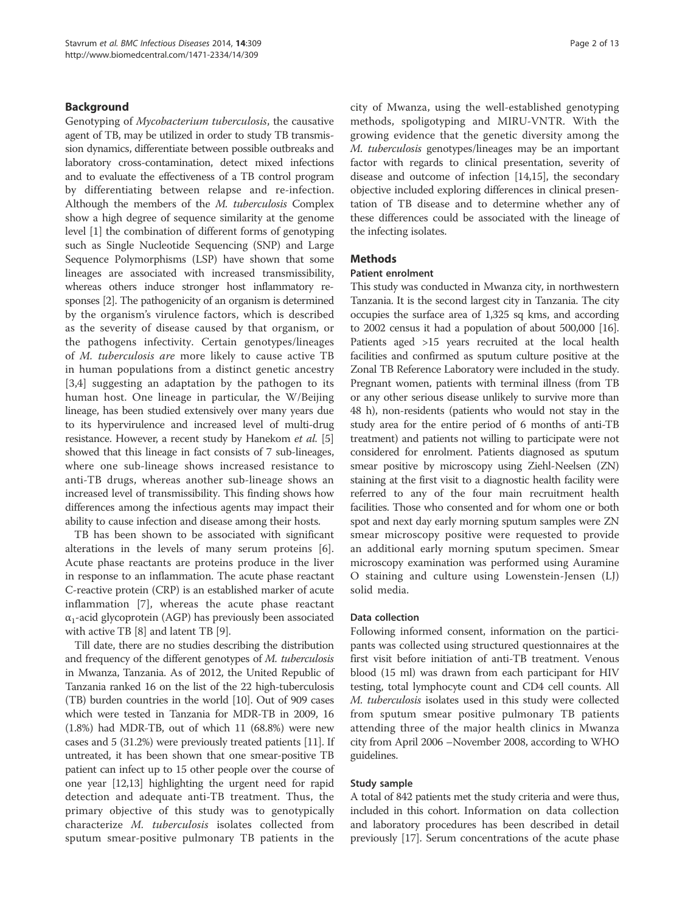## Background

Genotyping of Mycobacterium tuberculosis, the causative agent of TB, may be utilized in order to study TB transmission dynamics, differentiate between possible outbreaks and laboratory cross-contamination, detect mixed infections and to evaluate the effectiveness of a TB control program by differentiating between relapse and re-infection. Although the members of the M. tuberculosis Complex show a high degree of sequence similarity at the genome level [1] the combination of different forms of genotyping such as Single Nucleotide Sequencing (SNP) and Large Sequence Polymorphisms (LSP) have shown that some lineages are associated with increased transmissibility, whereas others induce stronger host inflammatory responses [2]. The pathogenicity of an organism is determined by the organism's virulence factors, which is described as the severity of disease caused by that organism, or the pathogens infectivity. Certain genotypes/lineages of M. tuberculosis are more likely to cause active TB in human populations from a distinct genetic ancestry [3,4] suggesting an adaptation by the pathogen to its human host. One lineage in particular, the W/Beijing lineage, has been studied extensively over many years due to its hypervirulence and increased level of multi-drug resistance. However, a recent study by Hanekom et al. [5] showed that this lineage in fact consists of 7 sub-lineages, where one sub-lineage shows increased resistance to anti-TB drugs, whereas another sub-lineage shows an increased level of transmissibility. This finding shows how differences among the infectious agents may impact their ability to cause infection and disease among their hosts.

TB has been shown to be associated with significant alterations in the levels of many serum proteins [6]. Acute phase reactants are proteins produce in the liver in response to an inflammation. The acute phase reactant C-reactive protein (CRP) is an established marker of acute inflammation [7], whereas the acute phase reactant  $\alpha_1$ -acid glycoprotein (AGP) has previously been associated with active TB [8] and latent TB [9].

Till date, there are no studies describing the distribution and frequency of the different genotypes of M. tuberculosis in Mwanza, Tanzania. As of 2012, the United Republic of Tanzania ranked 16 on the list of the 22 high-tuberculosis (TB) burden countries in the world [10]. Out of 909 cases which were tested in Tanzania for MDR-TB in 2009, 16 (1.8%) had MDR-TB, out of which 11 (68.8%) were new cases and 5 (31.2%) were previously treated patients [11]. If untreated, it has been shown that one smear-positive TB patient can infect up to 15 other people over the course of one year [12,13] highlighting the urgent need for rapid detection and adequate anti-TB treatment. Thus, the primary objective of this study was to genotypically characterize M. tuberculosis isolates collected from sputum smear-positive pulmonary TB patients in the city of Mwanza, using the well-established genotyping methods, spoligotyping and MIRU-VNTR. With the growing evidence that the genetic diversity among the M. tuberculosis genotypes/lineages may be an important factor with regards to clinical presentation, severity of disease and outcome of infection [14,15], the secondary objective included exploring differences in clinical presentation of TB disease and to determine whether any of these differences could be associated with the lineage of the infecting isolates.

#### Methods

#### Patient enrolment

This study was conducted in Mwanza city, in northwestern Tanzania. It is the second largest city in Tanzania. The city occupies the surface area of 1,325 sq kms, and according to 2002 census it had a population of about 500,000 [16]. Patients aged >15 years recruited at the local health facilities and confirmed as sputum culture positive at the Zonal TB Reference Laboratory were included in the study. Pregnant women, patients with terminal illness (from TB or any other serious disease unlikely to survive more than 48 h), non-residents (patients who would not stay in the study area for the entire period of 6 months of anti-TB treatment) and patients not willing to participate were not considered for enrolment. Patients diagnosed as sputum smear positive by microscopy using Ziehl-Neelsen (ZN) staining at the first visit to a diagnostic health facility were referred to any of the four main recruitment health facilities. Those who consented and for whom one or both spot and next day early morning sputum samples were ZN smear microscopy positive were requested to provide an additional early morning sputum specimen. Smear microscopy examination was performed using Auramine O staining and culture using Lowenstein-Jensen (LJ) solid media.

#### Data collection

Following informed consent, information on the participants was collected using structured questionnaires at the first visit before initiation of anti-TB treatment. Venous blood (15 ml) was drawn from each participant for HIV testing, total lymphocyte count and CD4 cell counts. All M. tuberculosis isolates used in this study were collected from sputum smear positive pulmonary TB patients attending three of the major health clinics in Mwanza city from April 2006 –November 2008, according to WHO guidelines.

#### Study sample

A total of 842 patients met the study criteria and were thus, included in this cohort. Information on data collection and laboratory procedures has been described in detail previously [17]. Serum concentrations of the acute phase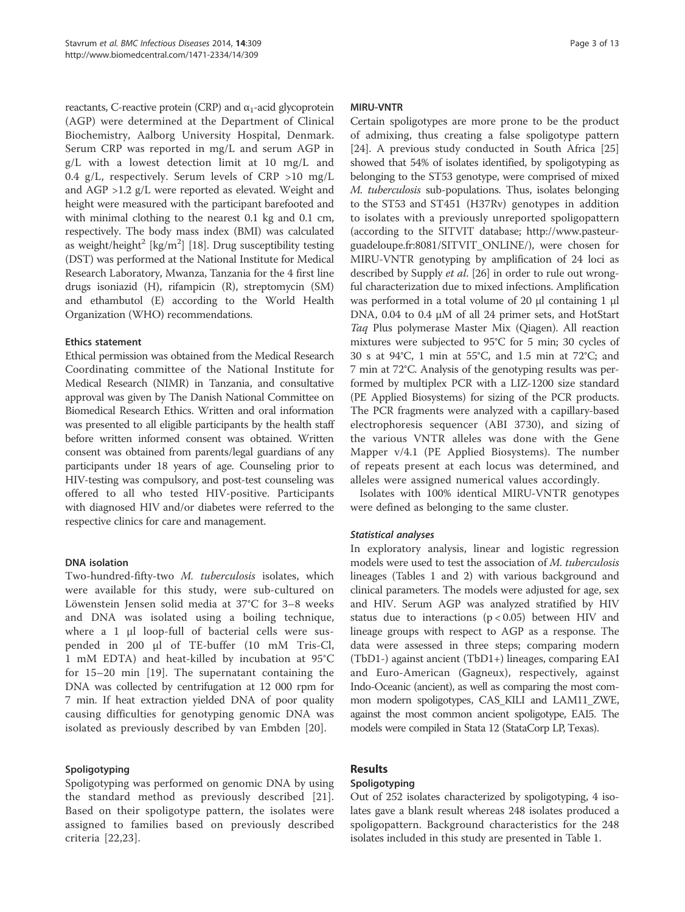reactants, C-reactive protein (CRP) and  $\alpha_1$ -acid glycoprotein (AGP) were determined at the Department of Clinical Biochemistry, Aalborg University Hospital, Denmark. Serum CRP was reported in mg/L and serum AGP in g/L with a lowest detection limit at 10 mg/L and 0.4 g/L, respectively. Serum levels of CRP >10 mg/L and AGP >1.2 g/L were reported as elevated. Weight and height were measured with the participant barefooted and with minimal clothing to the nearest 0.1 kg and 0.1 cm, respectively. The body mass index (BMI) was calculated as weight/height $^2$  [kg/m<sup>2</sup>] [18]. Drug susceptibility testing (DST) was performed at the National Institute for Medical Research Laboratory, Mwanza, Tanzania for the 4 first line drugs isoniazid (H), rifampicin (R), streptomycin (SM) and ethambutol (E) according to the World Health Organization (WHO) recommendations.

#### Ethics statement

Ethical permission was obtained from the Medical Research Coordinating committee of the National Institute for Medical Research (NIMR) in Tanzania, and consultative approval was given by The Danish National Committee on Biomedical Research Ethics. Written and oral information was presented to all eligible participants by the health staff before written informed consent was obtained. Written consent was obtained from parents/legal guardians of any participants under 18 years of age. Counseling prior to HIV-testing was compulsory, and post-test counseling was offered to all who tested HIV-positive. Participants with diagnosed HIV and/or diabetes were referred to the respective clinics for care and management.

#### DNA isolation

Two-hundred-fifty-two M. tuberculosis isolates, which were available for this study, were sub-cultured on Löwenstein Jensen solid media at 37°C for 3–8 weeks and DNA was isolated using a boiling technique, where a 1 μl loop-full of bacterial cells were suspended in 200 μl of TE-buffer (10 mM Tris-Cl, 1 mM EDTA) and heat-killed by incubation at 95°C for 15–20 min [19]. The supernatant containing the DNA was collected by centrifugation at 12 000 rpm for 7 min. If heat extraction yielded DNA of poor quality causing difficulties for genotyping genomic DNA was isolated as previously described by van Embden [20].

# Spoligotyping

Spoligotyping was performed on genomic DNA by using the standard method as previously described [21]. Based on their spoligotype pattern, the isolates were assigned to families based on previously described criteria [22,23].

#### MIRU-VNTR

Certain spoligotypes are more prone to be the product of admixing, thus creating a false spoligotype pattern [24]. A previous study conducted in South Africa [25] showed that 54% of isolates identified, by spoligotyping as belonging to the ST53 genotype, were comprised of mixed M. tuberculosis sub-populations. Thus, isolates belonging to the ST53 and ST451 (H37Rv) genotypes in addition to isolates with a previously unreported spoligopattern (according to the SITVIT database; http://www.pasteurguadeloupe.fr:8081/SITVIT\_ONLINE/), were chosen for MIRU-VNTR genotyping by amplification of 24 loci as described by Supply *et al.* [26] in order to rule out wrongful characterization due to mixed infections. Amplification was performed in a total volume of 20 μl containing 1 μl DNA, 0.04 to 0.4 μM of all 24 primer sets, and HotStart Taq Plus polymerase Master Mix (Qiagen). All reaction mixtures were subjected to 95°C for 5 min; 30 cycles of 30 s at 94°C, 1 min at 55°C, and 1.5 min at 72°C; and 7 min at 72°C. Analysis of the genotyping results was performed by multiplex PCR with a LIZ-1200 size standard (PE Applied Biosystems) for sizing of the PCR products. The PCR fragments were analyzed with a capillary-based electrophoresis sequencer (ABI 3730), and sizing of the various VNTR alleles was done with the Gene Mapper v/4.1 (PE Applied Biosystems). The number of repeats present at each locus was determined, and alleles were assigned numerical values accordingly.

Isolates with 100% identical MIRU-VNTR genotypes were defined as belonging to the same cluster.

#### Statistical analyses

In exploratory analysis, linear and logistic regression models were used to test the association of M. tuberculosis lineages (Tables 1 and 2) with various background and clinical parameters. The models were adjusted for age, sex and HIV. Serum AGP was analyzed stratified by HIV status due to interactions  $(p < 0.05)$  between HIV and lineage groups with respect to AGP as a response. The data were assessed in three steps; comparing modern (TbD1-) against ancient (TbD1+) lineages, comparing EAI and Euro-American (Gagneux), respectively, against Indo-Oceanic (ancient), as well as comparing the most common modern spoligotypes, CAS\_KILI and LAM11\_ZWE, against the most common ancient spoligotype, EAI5. The models were compiled in Stata 12 (StataCorp LP, Texas).

# Results

#### Spoligotyping

Out of 252 isolates characterized by spoligotyping, 4 isolates gave a blank result whereas 248 isolates produced a spoligopattern. Background characteristics for the 248 isolates included in this study are presented in Table 1.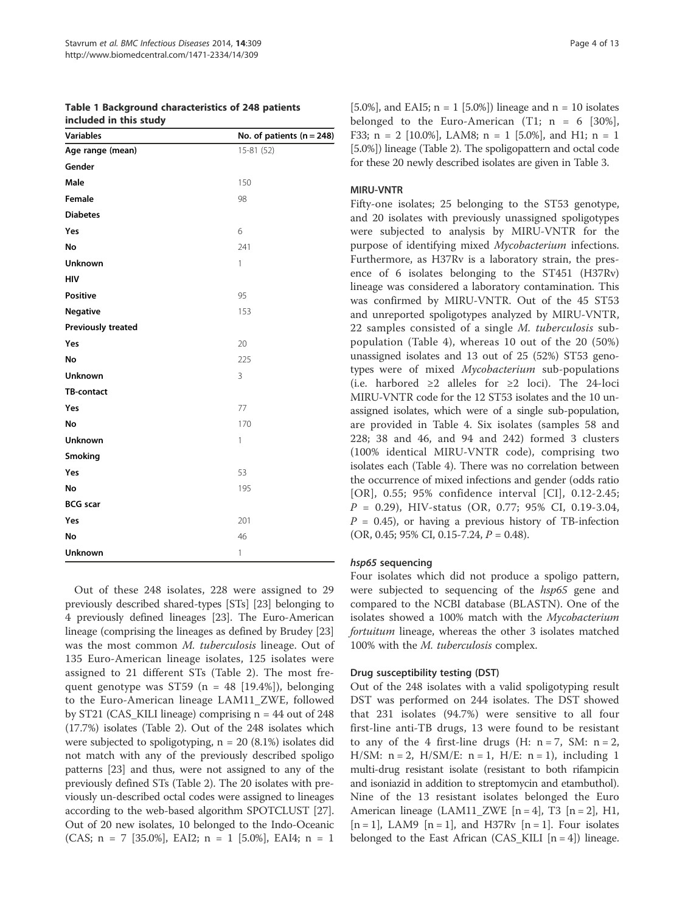| Table 1 Background characteristics of 248 patients |  |  |
|----------------------------------------------------|--|--|
| included in this study                             |  |  |

| <b>Variables</b>          | No. of patients $(n = 248)$ |
|---------------------------|-----------------------------|
| Age range (mean)          | 15-81 (52)                  |
| Gender                    |                             |
| Male                      | 150                         |
| Female                    | 98                          |
| <b>Diabetes</b>           |                             |
| Yes                       | 6                           |
| <b>No</b>                 | 241                         |
| <b>Unknown</b>            | 1                           |
| HIV                       |                             |
| <b>Positive</b>           | 95                          |
| <b>Negative</b>           | 153                         |
| <b>Previously treated</b> |                             |
| Yes                       | 20                          |
| <b>No</b>                 | 225                         |
| <b>Unknown</b>            | 3                           |
| <b>TB-contact</b>         |                             |
| Yes                       | $77\,$                      |
| <b>No</b>                 | 170                         |
| Unknown                   | $\mathbf{1}$                |
| Smoking                   |                             |
| Yes                       | 53                          |
| <b>No</b>                 | 195                         |
| <b>BCG</b> scar           |                             |
| Yes                       | 201                         |
| No                        | 46                          |
| <b>Unknown</b>            | 1                           |

Out of these 248 isolates, 228 were assigned to 29 previously described shared-types [STs] [23] belonging to 4 previously defined lineages [23]. The Euro-American lineage (comprising the lineages as defined by Brudey [23] was the most common M. tuberculosis lineage. Out of 135 Euro-American lineage isolates, 125 isolates were assigned to 21 different STs (Table 2). The most frequent genotype was ST59 ( $n = 48$  [19.4%]), belonging to the Euro-American lineage LAM11\_ZWE, followed by ST21 (CAS\_KILI lineage) comprising n = 44 out of 248 (17.7%) isolates (Table 2). Out of the 248 isolates which were subjected to spoligotyping,  $n = 20$  (8.1%) isolates did not match with any of the previously described spoligo patterns [23] and thus, were not assigned to any of the previously defined STs (Table 2). The 20 isolates with previously un-described octal codes were assigned to lineages according to the web-based algorithm SPOTCLUST [27]. Out of 20 new isolates, 10 belonged to the Indo-Oceanic (CAS; n = 7 [35.0%], EAI2; n = 1 [5.0%], EAI4; n = 1

[5.0%], and EAI5;  $n = 1$  [5.0%]) lineage and  $n = 10$  isolates belonged to the Euro-American (T1;  $n = 6$  [30%], F33; n = 2 [10.0%], LAM8; n = 1 [5.0%], and H1; n = 1 [5.0%]) lineage (Table 2). The spoligopattern and octal code for these 20 newly described isolates are given in Table 3.

## MIRU-VNTR

Fifty-one isolates; 25 belonging to the ST53 genotype, and 20 isolates with previously unassigned spoligotypes were subjected to analysis by MIRU-VNTR for the purpose of identifying mixed Mycobacterium infections. Furthermore, as H37Rv is a laboratory strain, the presence of 6 isolates belonging to the ST451 (H37Rv) lineage was considered a laboratory contamination. This was confirmed by MIRU-VNTR. Out of the 45 ST53 and unreported spoligotypes analyzed by MIRU-VNTR, 22 samples consisted of a single M. tuberculosis subpopulation (Table 4), whereas 10 out of the 20 (50%) unassigned isolates and 13 out of 25 (52%) ST53 genotypes were of mixed Mycobacterium sub-populations (i.e. harbored ≥2 alleles for ≥2 loci). The 24-loci MIRU-VNTR code for the 12 ST53 isolates and the 10 unassigned isolates, which were of a single sub-population, are provided in Table 4. Six isolates (samples 58 and 228; 38 and 46, and 94 and 242) formed 3 clusters (100% identical MIRU-VNTR code), comprising two isolates each (Table 4). There was no correlation between the occurrence of mixed infections and gender (odds ratio [OR], 0.55; 95% confidence interval [CI], 0.12-2.45;  $P = 0.29$ ), HIV-status (OR, 0.77; 95% CI, 0.19-3.04,  $P = 0.45$ ), or having a previous history of TB-infection (OR, 0.45; 95% CI, 0.15-7.24,  $P = 0.48$ ).

#### hsp65 sequencing

Four isolates which did not produce a spoligo pattern, were subjected to sequencing of the  $hsp65$  gene and compared to the NCBI database (BLASTN). One of the isolates showed a 100% match with the Mycobacterium fortuitum lineage, whereas the other 3 isolates matched 100% with the M. tuberculosis complex.

#### Drug susceptibility testing (DST)

Out of the 248 isolates with a valid spoligotyping result DST was performed on 244 isolates. The DST showed that 231 isolates (94.7%) were sensitive to all four first-line anti-TB drugs, 13 were found to be resistant to any of the 4 first-line drugs (H:  $n = 7$ , SM:  $n = 2$ , H/SM:  $n = 2$ , H/SM/E:  $n = 1$ , H/E:  $n = 1$ ), including 1 multi-drug resistant isolate (resistant to both rifampicin and isoniazid in addition to streptomycin and etambuthol). Nine of the 13 resistant isolates belonged the Euro American lineage (LAM11\_ZWE  $[n = 4]$ , T3  $[n = 2]$ , H1,  $[n = 1]$ , LAM9  $[n = 1]$ , and H37Rv  $[n = 1]$ . Four isolates belonged to the East African (CAS\_KILI  $[n = 4]$ ) lineage.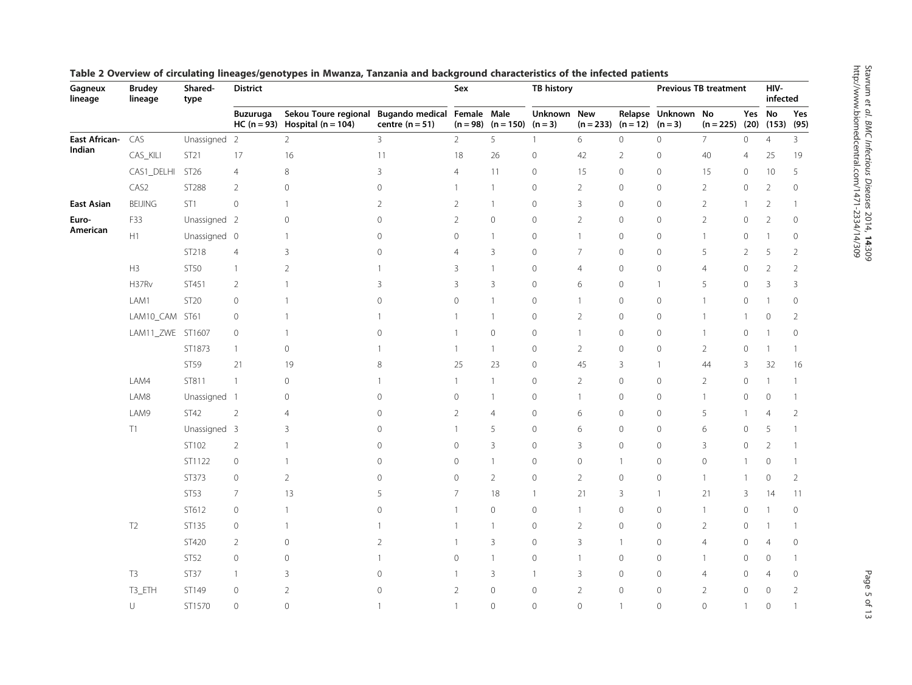| Gagneux<br>lineage                                         | <b>Brudey</b><br>lineage | Shared-<br>type  | <b>District</b>                  |                                                |                                             | Sex                       |                       |                | <b>TB history</b> |                         |                                 | <b>Previous TB treatment</b> |                     |                      | HIV-<br>infected    |  |
|------------------------------------------------------------|--------------------------|------------------|----------------------------------|------------------------------------------------|---------------------------------------------|---------------------------|-----------------------|----------------|-------------------|-------------------------|---------------------------------|------------------------------|---------------------|----------------------|---------------------|--|
|                                                            |                          |                  | <b>Buzuruga</b><br>$HC (n = 93)$ | Sekou Toure regional<br>Hospital ( $n = 104$ ) | <b>Bugando medical</b><br>centre $(n = 51)$ | Female Male<br>$(n = 98)$ | $(n = 150)$ $(n = 3)$ | Unknown New    | $(n = 233)$       | $(n = 12)$              | Relapse Unknown No<br>$(n = 3)$ | $(n = 225)$                  | Yes<br>(20)         | No<br>$(153)$ $(95)$ | Yes                 |  |
| East African-<br>Indian<br>East Asian<br>Euro-<br>American | CAS                      | Unassigned 2     |                                  | $\overline{2}$                                 | $\mathbf{3}$                                | $\overline{2}$            | 5                     |                | 6                 | $\mathbb O$             | $\mathsf{O}\xspace$             | $7\overline{ }$              | $\mathsf{O}\xspace$ | $\overline{4}$       | $\mathbf{3}$        |  |
|                                                            | CAS_KILI                 | ST21             | 17                               | 16                                             | 11                                          | 18                        | 26                    | $\mathbf 0$    | 42                | $\overline{2}$          | $\mathbf 0$                     | 40                           | $\overline{4}$      | 25                   | 19                  |  |
|                                                            | CAS1_DELHI               | ST <sub>26</sub> | $\overline{4}$                   | $\,8\,$                                        | 3                                           | 4                         | 11                    | $\mathbf 0$    | 15                | $\mathbf 0$             | $\mathbf 0$                     | 15                           | $\mathbb O$         | 10                   | 5                   |  |
|                                                            | CAS2                     | ST288            | $\overline{2}$                   | $\mathbf 0$                                    | $\mathsf{O}\xspace$                         | 1                         | $\mathbf{1}$          | $\mathbf 0$    | $\overline{2}$    | $\mathbf 0$             | $\mathbf 0$                     | $\overline{2}$               | $\mathbb O$         | $\overline{2}$       | $\mathbb O$         |  |
|                                                            | <b>BEIJING</b>           | ST <sub>1</sub>  | $\mathbf 0$                      | $\mathbf{1}$                                   | 2                                           | 2                         | $\mathbf{1}$          | 0              | 3                 | $\mathbf 0$             | $\mathbf 0$                     | $\overline{2}$               | $\mathbf{1}$        | $\overline{2}$       |                     |  |
| F33<br>H1<br>H3<br>T1<br>T <sub>2</sub><br>T <sub>3</sub>  |                          | Unassigned 2     |                                  | $\mathbf 0$                                    | $\mathbb O$                                 | 2                         | $\mathbf 0$           | $\mathbf 0$    | $\overline{2}$    | $\mathbf 0$             | $\mathbf 0$                     | $\overline{2}$               | $\mathbb O$         | $\overline{2}$       | $\mathbb O$         |  |
|                                                            |                          | Unassigned 0     |                                  |                                                | $\mathbb O$                                 | 0                         | $\overline{1}$        | $\mathbf 0$    | $\overline{1}$    | $\mathbf 0$             | $\mathbf 0$                     | $\mathbf{1}$                 | $\mathsf{O}\xspace$ | $\overline{1}$       | $\mathsf{O}\xspace$ |  |
|                                                            |                          | ST218            | $\overline{4}$                   | 3                                              | $\circ$                                     | 4                         | 3                     | $\mathbf 0$    | $\overline{7}$    | $\mathbf 0$             | $\mathbf 0$                     | 5                            | $\overline{2}$      | 5                    | $\overline{2}$      |  |
|                                                            |                          | <b>ST50</b>      | $\overline{1}$                   | $\overline{2}$                                 | 1                                           | 3                         | $\mathbf{1}$          | $\mathbf 0$    | $\overline{4}$    | $\mathbf 0$             | $\mathbf 0$                     | $\overline{4}$               | $\mathbb O$         | $\overline{2}$       | $\overline{2}$      |  |
|                                                            | H37Rv                    | ST451            | $\overline{2}$                   | $\mathbf{1}$                                   | $\mathsf 3$                                 | 3                         | $\overline{3}$        | $\mathbf 0$    | 6                 | $\mathbf 0$             | $\overline{1}$                  | 5                            | $\mathbb O$         | $\mathsf 3$          | 3                   |  |
|                                                            | LAM1                     | ST20             | $\mathbf 0$                      |                                                | $\mathsf{O}\xspace$                         | 0                         | $\overline{1}$        | $\overline{0}$ | $\mathbf{1}$      | $\mathbf 0$             | $\mathbf 0$                     | $\mathbf{1}$                 | $\mathbf 0$         | $\overline{1}$       | $\mathbf 0$         |  |
|                                                            | LAM10_CAM ST61           |                  | $\mathbf 0$                      |                                                | 1                                           | 1                         | $\overline{1}$        | $\mathbf 0$    | $\overline{2}$    | $\mathbf 0$             | $\mathbf 0$                     | $\mathbf{1}$                 | $\mathbf{1}$        | $\mathbb O$          | $\overline{2}$      |  |
|                                                            | LAM11_ZWE ST1607         |                  | $\mathbf 0$                      |                                                | $\mathbf 0$                                 | 1                         | $\mathbf 0$           | $\overline{0}$ | $\mathbf{1}$      | $\mathbf 0$             | $\overline{0}$                  | $\mathbf{1}$                 | $\mathbf 0$         | $\mathbf{1}$         | $\mathbf 0$         |  |
|                                                            |                          | ST1873           | $\overline{1}$                   | $\mathbf 0$                                    | 1                                           | 1                         | $\mathbf{1}$          | $\mathbf 0$    | $\overline{2}$    | $\mathbf 0$             | $\mathbf 0$                     | $\overline{2}$               | $\mathbf 0$         | $\mathbf{1}$         | $\mathbf{1}$        |  |
|                                                            |                          | ST59             | 21                               | 19                                             | 8                                           | 25                        | 23                    | $\mathbf 0$    | 45                | $\overline{3}$          | $\mathbf{1}$                    | 44                           | 3                   | 32                   | 16                  |  |
|                                                            | LAM4                     | ST811            | $\overline{1}$                   | $\mathbf 0$                                    | 1                                           | $\mathbf{1}$              | $\overline{1}$        | $\mathbf 0$    | $\overline{2}$    | $\mathbf 0$             | $\mathbf 0$                     | $\overline{2}$               | $\mathbb O$         | $\overline{1}$       | $\mathbf{1}$        |  |
|                                                            | LAM8                     | Unassigned 1     |                                  | $\mathbf 0$                                    | 0                                           | 0                         | 1                     | $\mathbf 0$    | $\mathbf{1}$      | $\mathbf 0$             | $\mathbf 0$                     | $\mathbf{1}$                 | $\mathbb O$         | $\mathbb O$          |                     |  |
|                                                            | LAM9                     | ST42             | $\overline{2}$                   | $\overline{4}$                                 | $\circ$                                     | 2                         | $\overline{4}$        | $\mathbf 0$    | 6                 | $\mathbf 0$             | $\mathbf 0$                     | 5                            | $\mathbf{1}$        | $\overline{a}$       | $\overline{2}$      |  |
|                                                            |                          | Unassigned 3     |                                  | 3                                              | $\circ$                                     | 1                         | 5                     | $\mathbf{0}$   | 6                 | $\mathbf 0$             | $\mathbf 0$                     | 6                            | $\mathbf 0$         | 5                    | $\mathbf{1}$        |  |
|                                                            |                          | ST102            | $\overline{2}$                   |                                                | 0                                           | $\mathsf{O}\xspace$       | 3                     | $\mathbf 0$    | 3                 | $\mathbf 0$             | $\mathbf 0$                     | 3                            | $\mathbb O$         | $\overline{2}$       | $\mathbf{1}$        |  |
|                                                            |                          | ST1122           | $\mathbf 0$                      |                                                | $\circ$                                     | 0                         | $\mathbf{1}$          | $\overline{0}$ | 0                 | $\overline{1}$          | $\mathbf 0$                     | $\mathbf 0$                  | $\mathbf{1}$        | $\circ$              |                     |  |
|                                                            |                          | ST373            | $\mathbf 0$                      | $\overline{2}$                                 | $\circ$                                     | $\mathsf{O}\xspace$       | $\overline{2}$        | $\mathbf 0$    | $\overline{2}$    | $\mathbf 0$             | $\mathbf 0$                     | $\mathbf{1}$                 | $\overline{1}$      | $\circ$              | $\overline{2}$      |  |
|                                                            |                          | ST53             | $\overline{7}$                   | 13                                             | 5                                           | 7                         | 18                    |                | 21                | $\overline{\mathbf{3}}$ | $\overline{1}$                  | 21                           | 3                   | 14                   | 11                  |  |
|                                                            |                          | ST612            | $\mathbb O$                      |                                                | $\mathbb O$                                 | 1                         | $\mathbb O$           | $\mathbf 0$    | $\mathbf{1}$      | $\mathbf 0$             | $\mathbf 0$                     | $\mathbf{1}$                 | $\mathbb O$         | $\mathbf{1}$         | $\mathbb O$         |  |
|                                                            |                          | ST135            | $\mathbf 0$                      |                                                | 1                                           |                           | $\mathbf{1}$          | $\mathbf{0}$   | $\overline{2}$    | $\mathbf 0$             | $\mathbf 0$                     | $\overline{2}$               | $\mathbb O$         | $\mathbf{1}$         |                     |  |
|                                                            |                          | ST420            | $\overline{2}$                   | $\mathbf 0$                                    | $\overline{2}$                              |                           | 3                     | $\mathbf 0$    | 3                 | $\mathbf{1}$            | $\mathbf 0$                     | $\overline{4}$               | $\mathbb O$         | $\overline{a}$       | $\mathbb O$         |  |
|                                                            |                          | ST52             | $\mathbf 0$                      | $\mathbf 0$                                    |                                             | 0                         | $\overline{1}$        | $\overline{0}$ | $\mathbf{1}$      | $\mathbf 0$             | $\mathbf 0$                     | $\mathbf{1}$                 | $\mathbb O$         | $\circ$              | $\mathbf{1}$        |  |
|                                                            |                          | ST37             | $\overline{1}$                   | 3                                              | 0                                           | 1                         | 3                     |                | 3                 | $\mathbf 0$             | 0                               | $\overline{4}$               | 0                   | 4                    | 0                   |  |
|                                                            | T3_ETH                   | ST149            | $\mathbf 0$                      | $\overline{2}$                                 | $\mathsf{O}\xspace$                         | 2                         | $\mathbf 0$           | $\mathbf 0$    | $\overline{2}$    | $\mathbf 0$             | $\mathbf 0$                     | $\sqrt{2}$                   | $\mathbb O$         | $\circ$              | $\sqrt{2}$          |  |
|                                                            | $\cup$                   | ST1570           | $\mathbf 0$                      | $\mathbf{0}$                                   | -1                                          | 1                         | $\mathbf 0$           | $\overline{0}$ | $\mathbf 0$       | $\overline{1}$          | $\overline{0}$                  | $\mathbf 0$                  | $\overline{1}$      | $\mathbf 0$          | $\overline{1}$      |  |
|                                                            |                          |                  |                                  |                                                |                                             |                           |                       |                |                   |                         |                                 |                              |                     |                      |                     |  |

# Table 2 Overview of circulating lineages/genotypes in Mwanza, Tanzania and background characteristics of the infected patients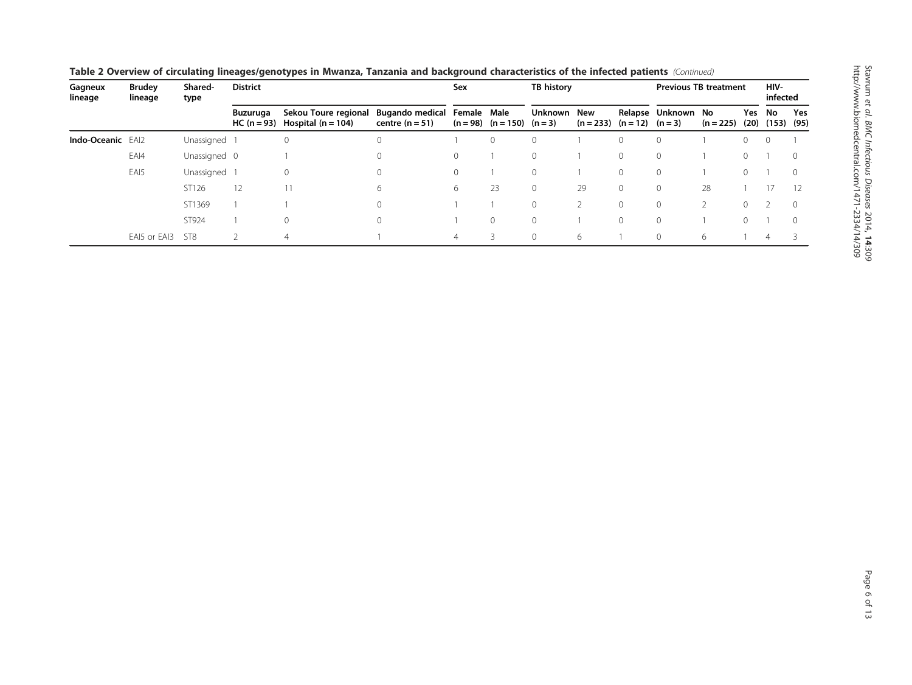| Gagneux<br>lineage       | <b>Brudey</b><br>lineage | Shared-<br>type | <b>District</b>           |                                                |                                             | Sex      |                                          | <b>TB history</b> |                    |                      | <b>Previous TB treatment</b> |             |          | HIV-<br>infected     |             |
|--------------------------|--------------------------|-----------------|---------------------------|------------------------------------------------|---------------------------------------------|----------|------------------------------------------|-------------------|--------------------|----------------------|------------------------------|-------------|----------|----------------------|-------------|
|                          |                          |                 | Buzuruga<br>$HC (n = 93)$ | Sekou Toure regional<br>Hospital ( $n = 104$ ) | <b>Bugando medical</b><br>centre $(n = 51)$ | Female   | Male<br>$(n = 98)$ $(n = 150)$ $(n = 3)$ | Unknown           | New<br>$(n = 233)$ | $(n = 12)$ $(n = 3)$ | Relapse Unknown No           | $(n = 225)$ | Yes      | No<br>$(20)$ $(153)$ | Yes<br>(95) |
| <b>Indo-Oceanic EAI2</b> |                          | Unassigned      |                           | 0                                              | $\mathbf{0}$                                |          |                                          | 0                 |                    |                      | 0                            |             | 0        | $\circ$              |             |
|                          | EAI4                     | Unassigned 0    |                           |                                                | $\Omega$                                    |          |                                          | $\Omega$          |                    |                      | $\mathbf{0}$                 |             | $\Omega$ |                      |             |
|                          | EAI5                     | Unassigned      |                           | 0                                              | $\Omega$                                    | $\Omega$ |                                          | 0                 |                    |                      | $\circ$                      |             | 0        |                      | $\Omega$    |
|                          |                          | ST126           | 12                        | 11                                             | 6                                           | 6        | 23                                       | 0                 | 29                 | $\Omega$             | $\mathbf{0}$                 | 28          |          | 17                   | 12          |
|                          |                          | ST1369          |                           |                                                | $\Omega$                                    |          |                                          | $\Omega$          | ∠                  |                      | $\mathbf{0}$                 |             | 0        |                      | $\Omega$    |
|                          |                          | ST924           |                           | 0                                              | $\Omega$                                    |          | $\Omega$                                 | $\Omega$          |                    | $\Omega$             | $\Omega$                     |             | $\Omega$ |                      |             |
|                          | EAI5 or EAI3             | ST8             |                           | 4                                              |                                             | 4        | Β                                        | $\Omega$          | 6                  |                      | $\Omega$                     | 6           |          | 4                    |             |

Table 2 Overview of circulating lineages/genotypes in Mwanza, Tanzania and background characteristics of the infected patients (Continued)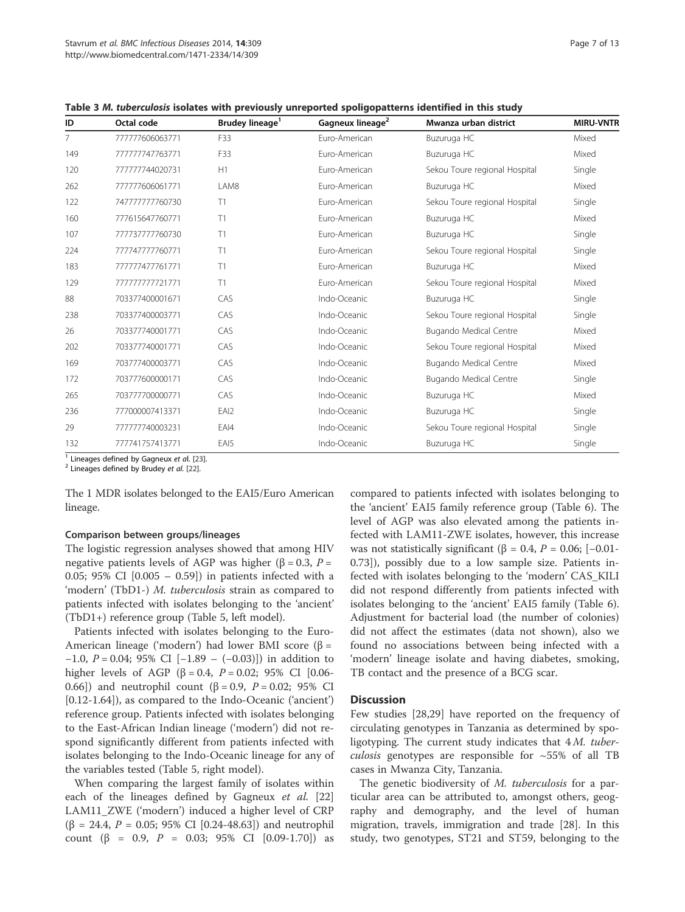| ID  | Octal code      | Brudey lineage <sup>1</sup> | Gagneux lineage <sup>2</sup> | Mwanza urban district         | <b>MIRU-VNTR</b> |
|-----|-----------------|-----------------------------|------------------------------|-------------------------------|------------------|
| 7   | 777777606063771 | F33                         | Euro-American                | Buzuruga HC                   | Mixed            |
| 149 | 777777747763771 | F33                         | Euro-American                | Buzuruga HC                   | Mixed            |
| 120 | 77777744020731  | H1                          | Euro-American                | Sekou Toure regional Hospital | Single           |
| 262 | 777777606061771 | LAM8                        | Euro-American                | Buzuruga HC                   | Mixed            |
| 122 | 747777777760730 | T1                          | Euro-American                | Sekou Toure regional Hospital | Single           |
| 160 | 777615647760771 | T1                          | Euro-American                | Buzuruga HC                   | Mixed            |
| 107 | 777737777760730 | T1                          | Euro-American                | Buzuruga HC                   | Single           |
| 224 | 777747777760771 | T1                          | Euro-American                | Sekou Toure regional Hospital | Single           |
| 183 | 777777477761771 | T1                          | Euro-American                | Buzuruga HC                   | Mixed            |
| 129 | 77777777721771  | T1                          | Euro-American                | Sekou Toure regional Hospital | Mixed            |
| 88  | 703377400001671 | CAS                         | Indo-Oceanic                 | Buzuruga HC                   | Single           |
| 238 | 703377400003771 | CAS                         | Indo-Oceanic                 | Sekou Toure regional Hospital | Single           |
| 26  | 703377740001771 | CAS                         | Indo-Oceanic                 | <b>Bugando Medical Centre</b> | Mixed            |
| 202 | 703377740001771 | CAS                         | Indo-Oceanic                 | Sekou Toure regional Hospital | Mixed            |
| 169 | 703777400003771 | CAS                         | Indo-Oceanic                 | Bugando Medical Centre        | Mixed            |
| 172 | 703777600000171 | CAS                         | Indo-Oceanic                 | Bugando Medical Centre        | Single           |
| 265 | 703777700000771 | CAS                         | Indo-Oceanic                 | Buzuruga HC                   | Mixed            |
| 236 | 777000007413371 | EAI2                        | Indo-Oceanic                 | Buzuruga HC                   | Single           |
| 29  | 777777740003231 | EAI4                        | Indo-Oceanic                 | Sekou Toure regional Hospital | Single           |
| 132 | 777741757413771 | EAI5                        | Indo-Oceanic                 | Buzuruga HC                   | Single           |

Table 3 M. tuberculosis isolates with previously unreported spoligopatterns identified in this study

<sup>1</sup> Lineages defined by Gagneux et al. [23]. <sup>2</sup> Lineages defined by Brudey et al. [22].

The 1 MDR isolates belonged to the EAI5/Euro American lineage.

#### Comparison between groups/lineages

The logistic regression analyses showed that among HIV negative patients levels of AGP was higher (β = 0.3, P = 0.05; 95% CI [0.005 – 0.59]) in patients infected with a 'modern' (TbD1-) M. tuberculosis strain as compared to patients infected with isolates belonging to the 'ancient' (TbD1+) reference group (Table 5, left model).

Patients infected with isolates belonging to the Euro-American lineage ('modern') had lower BMI score (β =  $-1.0$ ,  $P = 0.04$ ; 95% CI  $[-1.89 - (-0.03)]$  in addition to higher levels of AGP (β = 0.4,  $P = 0.02$ ; 95% CI [0.06-0.66]) and neutrophil count (β = 0.9, P = 0.02; 95% CI [0.12-1.64]), as compared to the Indo-Oceanic ('ancient') reference group. Patients infected with isolates belonging to the East-African Indian lineage ('modern') did not respond significantly different from patients infected with isolates belonging to the Indo-Oceanic lineage for any of the variables tested (Table 5, right model).

When comparing the largest family of isolates within each of the lineages defined by Gagneux et al. [22] LAM11\_ZWE ('modern') induced a higher level of CRP  $(β = 24.4, P = 0.05; 95% CI [0.24-48.63])$  and neutrophil count (β = 0.9,  $P = 0.03$ ; 95% CI  $[0.09-1.70]$ ) as compared to patients infected with isolates belonging to the 'ancient' EAI5 family reference group (Table 6). The level of AGP was also elevated among the patients infected with LAM11-ZWE isolates, however, this increase was not statistically significant ( $\beta = 0.4$ ,  $P = 0.06$ ; [-0.01-0.73]), possibly due to a low sample size. Patients infected with isolates belonging to the 'modern' CAS\_KILI did not respond differently from patients infected with isolates belonging to the 'ancient' EAI5 family (Table 6). Adjustment for bacterial load (the number of colonies) did not affect the estimates (data not shown), also we found no associations between being infected with a 'modern' lineage isolate and having diabetes, smoking, TB contact and the presence of a BCG scar.

#### **Discussion**

Few studies [28,29] have reported on the frequency of circulating genotypes in Tanzania as determined by spoligotyping. The current study indicates that 4 M. tuber*culosis* genotypes are responsible for  $\sim$ 55% of all TB cases in Mwanza City, Tanzania.

The genetic biodiversity of *M. tuberculosis* for a particular area can be attributed to, amongst others, geography and demography, and the level of human migration, travels, immigration and trade [28]. In this study, two genotypes, ST21 and ST59, belonging to the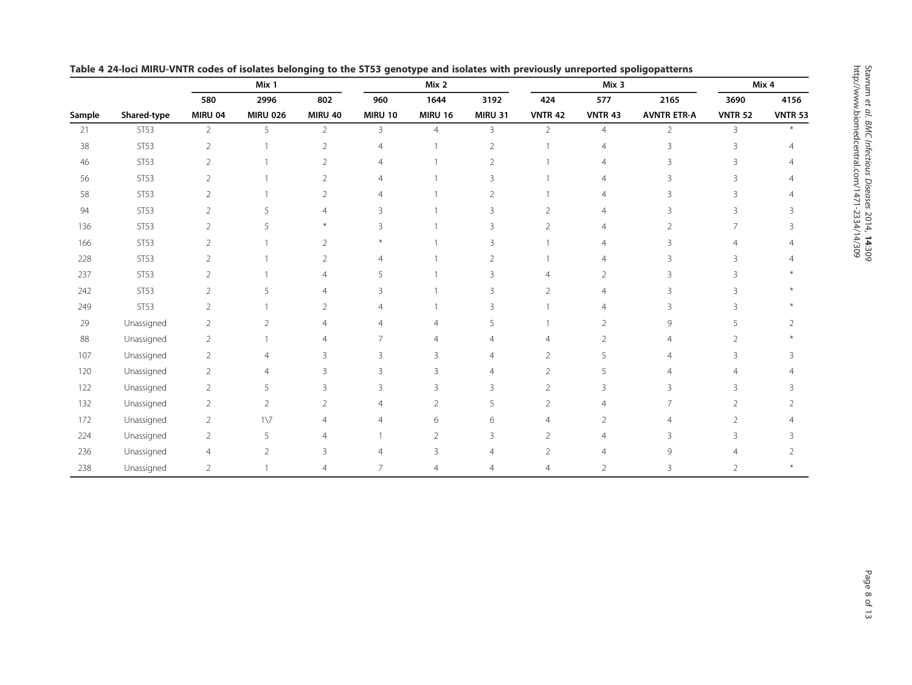|        |             | Mix 1          |                 |                |                | Mix 2                    |                |                | Mix 3          |                    | Mix 4                    |                |  |
|--------|-------------|----------------|-----------------|----------------|----------------|--------------------------|----------------|----------------|----------------|--------------------|--------------------------|----------------|--|
|        |             | 580            | 2996            | 802            | 960            | 1644                     | 3192           | 424            | 577            | 2165               | 3690                     | 4156           |  |
| Sample | Shared-type | MIRU 04        | <b>MIRU 026</b> | MIRU 40        | <b>MIRU 10</b> | <b>MIRU 16</b>           | <b>MIRU 31</b> | <b>VNTR 42</b> | <b>VNTR 43</b> | <b>AVNTR ETR-A</b> | <b>VNTR 52</b>           | <b>VNTR 53</b> |  |
| 21     | <b>ST53</b> | $\overline{2}$ | 5               | $\overline{2}$ | $\mathbf{3}$   | $\overline{4}$           | 3              | $\overline{2}$ | $\overline{4}$ | $\overline{2}$     | 3                        | $\ast$         |  |
| 38     | <b>ST53</b> | $\overline{2}$ |                 | $\overline{2}$ | $\overline{4}$ |                          | $\overline{2}$ |                | 4              | 3                  | 3                        |                |  |
| 46     | <b>ST53</b> | $\overline{2}$ |                 | 2              | $\overline{4}$ |                          | $\overline{2}$ |                | 4              | 3                  | 3                        |                |  |
| 56     | <b>ST53</b> | $\overline{2}$ |                 | $\overline{2}$ | $\overline{4}$ |                          | 3              |                | 4              | 3                  | 3                        |                |  |
| 58     | <b>ST53</b> | $\overline{2}$ |                 | 2              |                |                          | 2              |                | 4              | 3                  | Κ                        |                |  |
| 94     | <b>ST53</b> | $\overline{2}$ | 5               | $\overline{4}$ | 3              |                          | 3              | $\mathfrak{D}$ | $\overline{4}$ | 3                  | Β                        |                |  |
| 136    | <b>ST53</b> | 2              | 5               |                | 3              |                          | 3              | 2              | 4              | 2                  |                          |                |  |
| 166    | <b>ST53</b> | 2              |                 | $\overline{2}$ | $*$            |                          | 3              |                | 4              | 3                  | $\overline{4}$           |                |  |
| 228    | <b>ST53</b> | 2              |                 | 2              | 4              |                          | 2              |                | 4              | 3                  | 3                        |                |  |
| 237    | <b>ST53</b> | $\overline{2}$ |                 | 4              | 5              |                          | 3              | 4              | $\overline{2}$ | 3                  | ζ                        |                |  |
| 242    | <b>ST53</b> | $\overline{2}$ | 5               | 4              | 3              |                          | 3              | 2              | 4              | 3                  | Β                        |                |  |
| 249    | <b>ST53</b> | $\overline{2}$ |                 | 2              | $\overline{4}$ |                          | 3              |                | $\overline{4}$ | 3                  | ζ                        |                |  |
| 29     | Unassigned  | $\overline{2}$ | 2               | 4              | 4              | $\overline{\mathcal{A}}$ | 5              |                | 2              | 9                  | 5                        |                |  |
| 88     | Unassigned  | $\overline{2}$ |                 | $\overline{4}$ | 7              | $\overline{\mathcal{A}}$ | 4              |                | 2              |                    | $\mathfrak{D}$           |                |  |
| 107    | Unassigned  | $\overline{2}$ | 4               | 3              | 3              | 3                        | $\overline{4}$ | $\overline{2}$ | 5              | 4                  | Β                        |                |  |
| 120    | Unassigned  | $\overline{2}$ | 4               | 3              | 3              | 3                        | 4              | $\overline{2}$ | 5              | $\Delta$           | 4                        |                |  |
| 122    | Unassigned  | $\overline{2}$ | 5               | 3              | 3              | 3                        | 3              | $\overline{2}$ | 3              | 3                  | Β                        |                |  |
| 132    | Unassigned  | $\overline{2}$ | 2               | $\mathfrak{D}$ | $\overline{4}$ | 2                        | 5              | 2              | 4              |                    | 2                        |                |  |
| 172    | Unassigned  | $\overline{2}$ | $1\sqrt{7}$     | 4              | $\overline{4}$ | 6                        | 6              | 4              | 2              |                    |                          |                |  |
| 224    | Unassigned  | $\overline{2}$ | 5               | 4              |                | $\mathfrak{D}$           | 3              | 2              | $\overline{4}$ | 3                  | 3                        |                |  |
| 236    | Unassigned  | $\overline{4}$ | $\overline{2}$  | 3              | $\overline{4}$ | 3                        | 4              | $\overline{2}$ | 4              | 9                  |                          |                |  |
| 238    | Unassigned  | $\overline{2}$ |                 | 4              |                | $\Delta$                 | $\overline{4}$ | 4              | $\overline{2}$ | 3                  | $\overline{\phantom{a}}$ |                |  |

Table 4 24-loci MIRU-VNTR codes of isolates belonging to the ST53 genotype and isolates with previously unreported spoligopatterns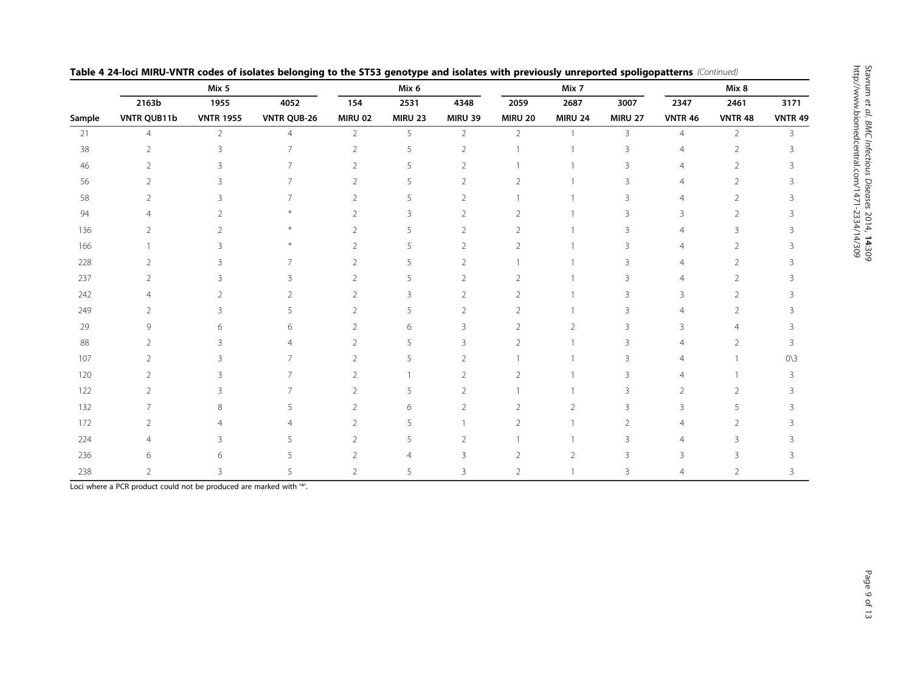|        |                    | Mix 5            |                    |                | Mix 6          |                |                | Mix 7          |                |                | Mix 8          |                |
|--------|--------------------|------------------|--------------------|----------------|----------------|----------------|----------------|----------------|----------------|----------------|----------------|----------------|
|        | 2163b              | 1955             | 4052               | 154            | 2531           | 4348           | 2059           | 2687           | 3007           | 2347           | 2461           | 3171           |
| Sample | <b>VNTR QUB11b</b> | <b>VNTR 1955</b> | <b>VNTR QUB-26</b> | <b>MIRU 02</b> | <b>MIRU 23</b> | <b>MIRU 39</b> | <b>MIRU 20</b> | <b>MIRU 24</b> | <b>MIRU 27</b> | <b>VNTR 46</b> | <b>VNTR 48</b> | <b>VNTR 49</b> |
| 21     | $\overline{4}$     | $\overline{2}$   | $\overline{4}$     | $\overline{2}$ | 5              | $\overline{2}$ | $\overline{2}$ |                | $\mathbf{3}$   | $\overline{4}$ | $\overline{2}$ | 3              |
| 38     | $\overline{2}$     | 3                | 7                  | 2              | 5              | $\overline{2}$ |                |                | 3              |                | $\overline{2}$ | 3              |
| 46     | 2                  | 3                |                    |                | 5              | 2              |                |                | 3              |                | 2              |                |
| 56     | 2                  | 3                |                    | C.             | 5              | $\overline{2}$ | $\overline{2}$ |                | ζ              |                | $\overline{2}$ |                |
| 58     | 2                  | 3                |                    | C.             | 5              | $\overline{2}$ |                |                | 3              | 4              | $\overline{2}$ |                |
| 94     |                    | 2                |                    | $\mathfrak{D}$ | 3              | $\overline{2}$ | $\overline{2}$ |                | 3              | 3              | $\overline{2}$ |                |
| 136    |                    | 2                |                    |                | 5              | $\overline{2}$ | $\overline{2}$ |                | ζ              |                | 3              |                |
| 166    |                    |                  |                    | $\mathfrak{D}$ | 5              | $\overline{2}$ | $\overline{2}$ |                | ζ              |                | 2              |                |
| 228    |                    |                  |                    |                | 5              | 2              |                |                |                |                | 2              |                |
| 237    |                    |                  | ζ                  |                | 5              | 2              | 2              |                |                |                | 2              |                |
| 242    |                    |                  |                    |                | 3              | 2              | 2              |                | 3              | 3              | 2              |                |
| 249    |                    | 3                |                    | $\mathfrak{D}$ | 5              | 2              | 2              |                | 3              |                | 2              |                |
| 29     | 9                  | 6                | 6                  |                | 6              | 3              | 2              | 2              | 3              | 3              |                |                |
| 88     |                    |                  |                    |                | 5              | 3              | $\overline{2}$ |                | ξ              |                | 2              |                |
| 107    | $\overline{2}$     |                  |                    |                | 5              | 2              |                |                |                | $\Delta$       |                | $0\sqrt{3}$    |
| 120    |                    |                  |                    |                |                | $\overline{2}$ | $\overline{2}$ |                |                |                |                |                |
| 122    | $\mathcal{P}$      |                  |                    |                | 5              | $\overline{2}$ |                |                | ζ              | $\overline{2}$ | 2              |                |
| 132    |                    | 8                |                    | $\mathfrak{D}$ | 6              | $\overline{2}$ | $\overline{2}$ | $\mathfrak{D}$ | ζ              | 3              | 5              |                |
| 172    | $\mathcal{P}$      |                  |                    |                | 5              |                | 2              |                | $\mathcal{P}$  | $\overline{A}$ | $\mathfrak{D}$ |                |
| 224    |                    |                  |                    |                | 5              | $\overline{2}$ |                |                |                |                |                |                |
| 236    | 6                  | 6                |                    |                | 4              | 3              | $\overline{2}$ | 2              | 3              | 3              | 3              |                |
| 238    |                    | ς                |                    | $\mathcal{D}$  | 5              | 3              | $\mathfrak{D}$ |                |                |                | $\mathcal{P}$  |                |

Table 4 24-loci MIRU-VNTR codes of isolates belonging to the ST53 genotype and isolates with previously unreported spoligopatterns (Continued)

Loci where a PCR product could not be produced are marked with '\*'.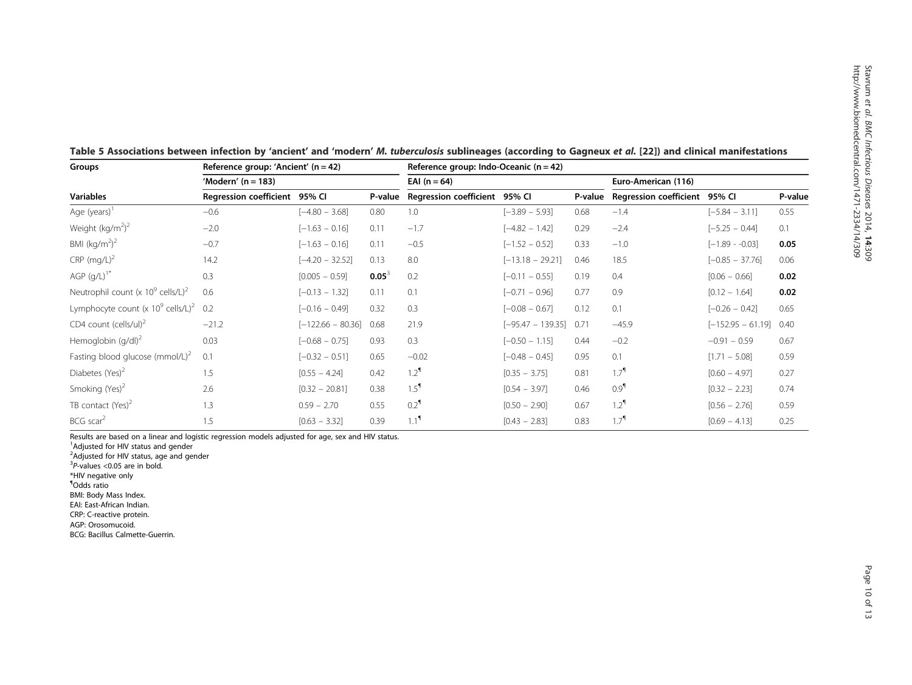| Groups                                           | Reference group: 'Ancient' $(n = 42)$ |                     | Reference group: Indo-Oceanic $(n = 42)$ |                                       |                     |                     |                               |                     |         |  |
|--------------------------------------------------|---------------------------------------|---------------------|------------------------------------------|---------------------------------------|---------------------|---------------------|-------------------------------|---------------------|---------|--|
|                                                  | 'Modern' ( $n = 183$ )                |                     |                                          | EAI $(n = 64)$                        |                     | Euro-American (116) |                               |                     |         |  |
| Variables                                        | Regression coefficient 95% CI         |                     |                                          | P-value Regression coefficient 95% CI |                     | P-value             | Regression coefficient 95% CI |                     | P-value |  |
| Age (years) <sup>1</sup>                         | $-0.6$                                | $[-4.80 - 3.68]$    | 0.80                                     | 1.0                                   | $[-3.89 - 5.93]$    | 0.68                | $-1.4$                        | $[-5.84 - 3.11]$    | 0.55    |  |
| Weight $(kq/m^2)^2$                              | $-2.0$                                | $[-1.63 - 0.16]$    | 0.11                                     | $-1.7$                                | $[-4.82 - 1.42]$    | 0.29                | $-2.4$                        | $[-5.25 - 0.44]$    | 0.1     |  |
| BMI $(kg/m2)2$                                   | $-0.7$                                | $[-1.63 - 0.16]$    | 0.11                                     | $-0.5$                                | $[-1.52 - 0.52]$    | 0.33                | $-1.0$                        | $[-1.89 - 0.03]$    | 0.05    |  |
| $CRP$ (mg/L) <sup>2</sup>                        | 14.2                                  | $[-4.20 - 32.52]$   | 0.13                                     | 8.0                                   | $[-13.18 - 29.21]$  | 0.46                | 18.5                          | $[-0.85 - 37.76]$   | 0.06    |  |
| AGP $(g/L)$ <sup>1*</sup>                        | 0.3                                   | $[0.005 - 0.59]$    | $0.05^3$                                 | 0.2                                   | $[-0.11 - 0.55]$    | 0.19                | 0.4                           | $[0.06 - 0.66]$     | 0.02    |  |
| Neutrophil count (x $10^9$ cells/L) <sup>2</sup> | 0.6                                   | $[-0.13 - 1.32]$    | 0.11                                     | 0.1                                   | $[-0.71 - 0.96]$    | 0.77                | 0.9                           | $[0.12 - 1.64]$     | 0.02    |  |
| Lymphocyte count (x $10^9$ cells/L) <sup>2</sup> | 0.2                                   | $[-0.16 - 0.49]$    | 0.32                                     | 0.3                                   | $[-0.08 - 0.67]$    | 0.12                | 0.1                           | $[-0.26 - 0.42]$    | 0.65    |  |
| CD4 count (cells/ul) <sup>2</sup>                | $-21.2$                               | $[-122.66 - 80.36]$ | 0.68                                     | 21.9                                  | $[-95.47 - 139.35]$ | 0.71                | $-45.9$                       | $[-152.95 - 61.19]$ | 0.40    |  |
| Hemoglobin $(q/dl)^2$                            | 0.03                                  | $[-0.68 - 0.75]$    | 0.93                                     | 0.3                                   | $[-0.50 - 1.15]$    | 0.44                | $-0.2$                        | $-0.91 - 0.59$      | 0.67    |  |
| Fasting blood glucose (mmol/L) <sup>2</sup>      | 0.1                                   | $[-0.32 - 0.51]$    | 0.65                                     | $-0.02$                               | $[-0.48 - 0.45]$    | 0.95                | 0.1                           | $[1.71 - 5.08]$     | 0.59    |  |
| Diabetes $(Yes)^2$                               | 1.5                                   | $[0.55 - 4.24]$     | 0.42                                     | 1.2 <sup>1</sup>                      | $[0.35 - 3.75]$     | 0.81                | $1.7^{1}$                     | $[0.60 - 4.97]$     | 0.27    |  |
| Smoking $(Yes)^2$                                | 2.6                                   | $[0.32 - 20.81]$    | 0.38                                     | 1.5 <sup>1</sup>                      | $[0.54 - 3.97]$     | 0.46                | 0.9 <sup>1</sup>              | $[0.32 - 2.23]$     | 0.74    |  |
| TB contact $(Yes)^2$                             | 1.3                                   | $0.59 - 2.70$       | 0.55                                     | $0.2$ <sup>9</sup>                    | $[0.50 - 2.90]$     | 0.67                | $1.2^{1}$                     | $[0.56 - 2.76]$     | 0.59    |  |
| $BCG$ scar <sup>2</sup>                          | 1.5                                   | $[0.63 - 3.32]$     | 0.39                                     | $1.1^{\frac{1}{2}}$                   | $[0.43 - 2.83]$     | 0.83                | $1.7^{1}$                     | $[0.69 - 4.13]$     | 0.25    |  |

| Table 5 Associations between infection by 'ancient' and 'modern' M. tuberculosis sublineages (according to Gagneux et al. [22]) and clinical manifestations |  |  |  |
|-------------------------------------------------------------------------------------------------------------------------------------------------------------|--|--|--|
|-------------------------------------------------------------------------------------------------------------------------------------------------------------|--|--|--|

Results are based on a linear and logistic regression models adjusted for age, sex and HIV status.

<sup>1</sup> Adjusted for HIV status and gender

<sup>2</sup>Adjusted for HIV status, age and gender

 $3P$ -values <0.05 are in bold.

\*HIV negative only

¶ Odds ratio

BMI: Body Mass Index.

EAI: East-African Indian. CRP: C-reactive protein.

AGP: Orosomucoid.

BCG: Bacillus Calmette-Guerrin.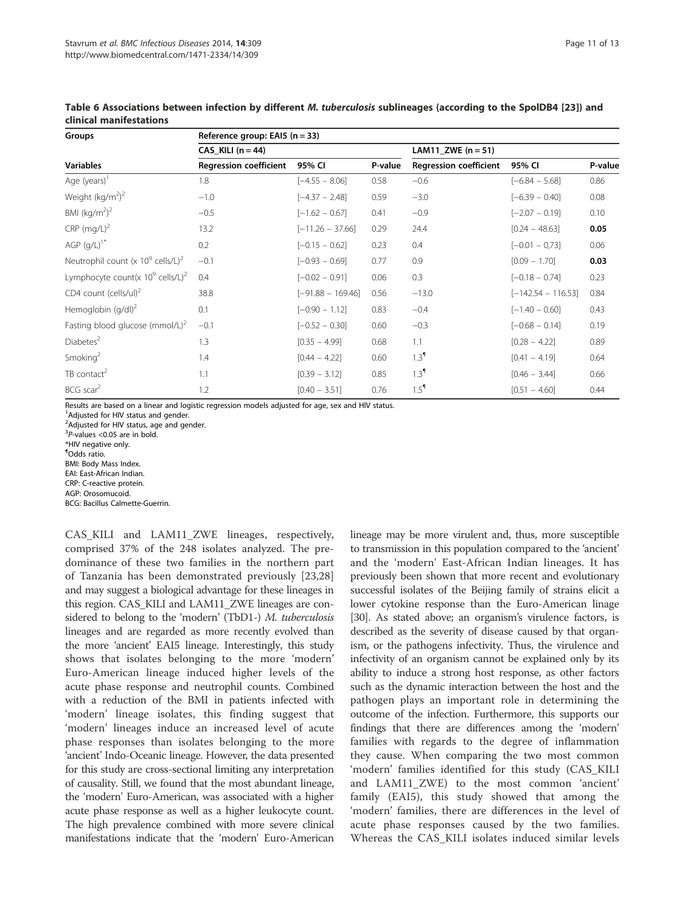| $CAS$ <sub>_KILI</sub> (n = 44) |                     |                                  | LAM11_ZWE $(n = 51)$          |                      |         |  |  |  |  |  |
|---------------------------------|---------------------|----------------------------------|-------------------------------|----------------------|---------|--|--|--|--|--|
| <b>Regression coefficient</b>   | 95% CI              | P-value                          | <b>Regression coefficient</b> | 95% CI               | P-value |  |  |  |  |  |
| 1.8                             | $[-4.55 - 8.06]$    | 0.58                             | $-0.6$                        | $[-6.84 - 5.68]$     | 0.86    |  |  |  |  |  |
| $-1.0$                          | $[-4.37 - 2.48]$    | 0.59                             | $-3.0$                        | $[-6.39 - 0.40]$     | 0.08    |  |  |  |  |  |
| $-0.5$                          | $[-1.62 - 0.67]$    | 0.41                             | $-0.9$                        | $[-2.07 - 0.19]$     | 0.10    |  |  |  |  |  |
| 13.2                            | $[-11.26 - 37.66]$  | 0.29                             | 24.4                          | $[0.24 - 48.63]$     | 0.05    |  |  |  |  |  |
| 0.2                             | $[-0.15 - 0.62]$    | 0.23                             | 0.4                           | $[-0.01 - 0.73]$     | 0.06    |  |  |  |  |  |
| $-0.1$                          | $[-0.93 - 0.69]$    | 0.77                             | 0.9                           | $[0.09 - 1.70]$      | 0.03    |  |  |  |  |  |
| 0.4                             | $[-0.02 - 0.91]$    | 0.06                             | 0.3                           | $[-0.18 - 0.74]$     | 0.23    |  |  |  |  |  |
| 38.8                            | $[-91.88 - 169.46]$ | 0.56                             | $-13.0$                       | $[-142.54 - 116.53]$ | 0.84    |  |  |  |  |  |
| 0.1                             | $[-0.90 - 1.12]$    | 0.83                             | $-0.4$                        | $[-1.40 - 0.60]$     | 0.43    |  |  |  |  |  |
| $-0.1$                          | $[-0.52 - 0.30]$    | 0.60                             | $-0.3$                        | $[-0.68 - 0.14]$     | 0.19    |  |  |  |  |  |
| 1.3                             | $[0.35 - 4.99]$     | 0.68                             | 1.1                           | $[0.28 - 4.22]$      | 0.89    |  |  |  |  |  |
| 1.4                             | $[0.44 - 4.22]$     | 0.60                             | $1.3^{1}$                     | $[0.41 - 4.19]$      | 0.64    |  |  |  |  |  |
| 1.1                             | $[0.39 - 3.12]$     | 0.85                             | 1.3 <sup>1</sup>              | $[0.46 - 3.44]$      | 0.66    |  |  |  |  |  |
| 1.2                             | $[0.40 - 3.51]$     | 0.76                             | 1.5 <sup>1</sup>              | $[0.51 - 4.60]$      | 0.44    |  |  |  |  |  |
|                                 |                     | Reference group: EAI5 $(n = 33)$ |                               |                      |         |  |  |  |  |  |

Table 6 Associations between infection by different M. tuberculosis sublineages (according to the SpolDB4 [23]) and clinical manifestations

Results are based on a linear and logistic regression models adjusted for age, sex and HIV status.

<sup>1</sup> Adjusted for HIV status and gender.

<sup>2</sup>Adjusted for HIV status, age and gender. 3 P-values <0.05 are in bold.

\*HIV negative only. ¶ Odds ratio.

BMI: Body Mass Index.

EAI: East-African Indian.

CRP: C-reactive protein.

AGP: Orosomucoid.

BCG: Bacillus Calmette-Guerrin.

CAS\_KILI and LAM11\_ZWE lineages, respectively, comprised 37% of the 248 isolates analyzed. The predominance of these two families in the northern part of Tanzania has been demonstrated previously [23,28] and may suggest a biological advantage for these lineages in this region. CAS\_KILI and LAM11\_ZWE lineages are considered to belong to the 'modern' (TbD1-) M. tuberculosis lineages and are regarded as more recently evolved than the more 'ancient' EAI5 lineage. Interestingly, this study shows that isolates belonging to the more 'modern' Euro-American lineage induced higher levels of the acute phase response and neutrophil counts. Combined with a reduction of the BMI in patients infected with 'modern' lineage isolates, this finding suggest that 'modern' lineages induce an increased level of acute phase responses than isolates belonging to the more 'ancient' Indo-Oceanic lineage. However, the data presented for this study are cross-sectional limiting any interpretation of causality. Still, we found that the most abundant lineage, the 'modern' Euro-American, was associated with a higher acute phase response as well as a higher leukocyte count. The high prevalence combined with more severe clinical manifestations indicate that the 'modern' Euro-American lineage may be more virulent and, thus, more susceptible to transmission in this population compared to the 'ancient' and the 'modern' East-African Indian lineages. It has previously been shown that more recent and evolutionary successful isolates of the Beijing family of strains elicit a lower cytokine response than the Euro-American linage [30]. As stated above; an organism's virulence factors, is described as the severity of disease caused by that organism, or the pathogens infectivity. Thus, the virulence and infectivity of an organism cannot be explained only by its ability to induce a strong host response, as other factors such as the dynamic interaction between the host and the pathogen plays an important role in determining the outcome of the infection. Furthermore, this supports our findings that there are differences among the 'modern' families with regards to the degree of inflammation they cause. When comparing the two most common 'modern' families identified for this study (CAS\_KILI and LAM11\_ZWE) to the most common 'ancient' family (EAI5), this study showed that among the 'modern' families, there are differences in the level of acute phase responses caused by the two families. Whereas the CAS\_KILI isolates induced similar levels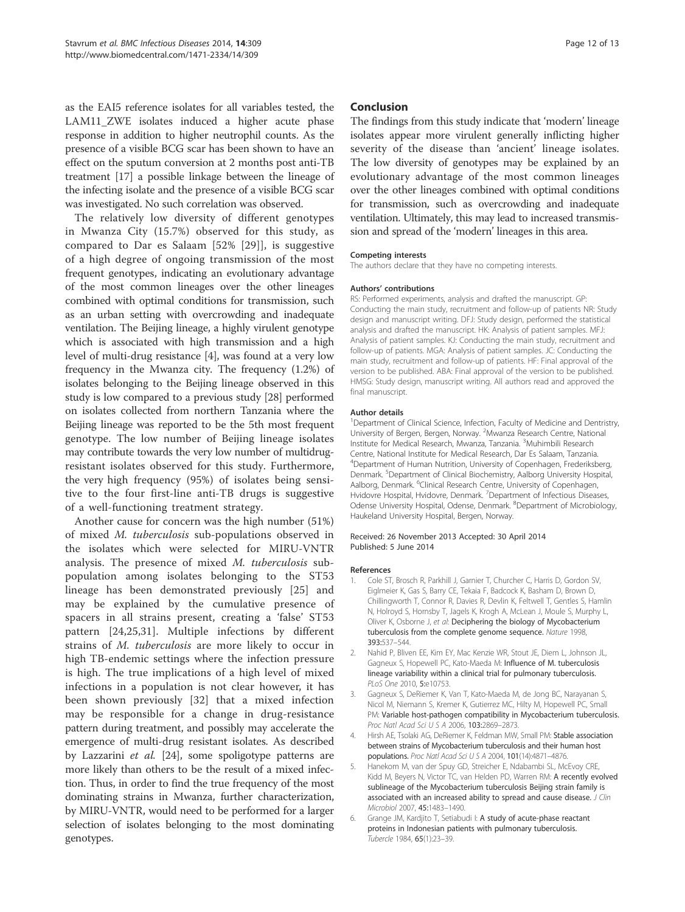as the EAI5 reference isolates for all variables tested, the LAM11 ZWE isolates induced a higher acute phase response in addition to higher neutrophil counts. As the presence of a visible BCG scar has been shown to have an effect on the sputum conversion at 2 months post anti-TB treatment [17] a possible linkage between the lineage of the infecting isolate and the presence of a visible BCG scar was investigated. No such correlation was observed.

The relatively low diversity of different genotypes in Mwanza City (15.7%) observed for this study, as compared to Dar es Salaam [52% [29]], is suggestive of a high degree of ongoing transmission of the most frequent genotypes, indicating an evolutionary advantage of the most common lineages over the other lineages combined with optimal conditions for transmission, such as an urban setting with overcrowding and inadequate ventilation. The Beijing lineage, a highly virulent genotype which is associated with high transmission and a high level of multi-drug resistance [4], was found at a very low frequency in the Mwanza city. The frequency (1.2%) of isolates belonging to the Beijing lineage observed in this study is low compared to a previous study [28] performed on isolates collected from northern Tanzania where the Beijing lineage was reported to be the 5th most frequent genotype. The low number of Beijing lineage isolates may contribute towards the very low number of multidrugresistant isolates observed for this study. Furthermore, the very high frequency (95%) of isolates being sensitive to the four first-line anti-TB drugs is suggestive of a well-functioning treatment strategy.

Another cause for concern was the high number (51%) of mixed M. tuberculosis sub-populations observed in the isolates which were selected for MIRU-VNTR analysis. The presence of mixed M. tuberculosis subpopulation among isolates belonging to the ST53 lineage has been demonstrated previously [25] and may be explained by the cumulative presence of spacers in all strains present, creating a 'false' ST53 pattern [24,25,31]. Multiple infections by different strains of M. tuberculosis are more likely to occur in high TB-endemic settings where the infection pressure is high. The true implications of a high level of mixed infections in a population is not clear however, it has been shown previously [32] that a mixed infection may be responsible for a change in drug-resistance pattern during treatment, and possibly may accelerate the emergence of multi-drug resistant isolates. As described by Lazzarini et al. [24], some spoligotype patterns are more likely than others to be the result of a mixed infection. Thus, in order to find the true frequency of the most dominating strains in Mwanza, further characterization, by MIRU-VNTR, would need to be performed for a larger selection of isolates belonging to the most dominating genotypes.

## Conclusion

The findings from this study indicate that 'modern' lineage isolates appear more virulent generally inflicting higher severity of the disease than 'ancient' lineage isolates. The low diversity of genotypes may be explained by an evolutionary advantage of the most common lineages over the other lineages combined with optimal conditions for transmission, such as overcrowding and inadequate ventilation. Ultimately, this may lead to increased transmission and spread of the 'modern' lineages in this area.

#### Competing interests

The authors declare that they have no competing interests.

#### Authors' contributions

RS: Performed experiments, analysis and drafted the manuscript. GP: Conducting the main study, recruitment and follow-up of patients NR: Study design and manuscript writing. DFJ: Study design, performed the statistical analysis and drafted the manuscript. HK: Analysis of patient samples. MFJ: Analysis of patient samples. KJ: Conducting the main study, recruitment and follow-up of patients. MGA: Analysis of patient samples. JC: Conducting the main study, recruitment and follow-up of patients. HF: Final approval of the version to be published. ABA: Final approval of the version to be published. HMSG: Study design, manuscript writing. All authors read and approved the final manuscript.

#### Author details

<sup>1</sup>Department of Clinical Science, Infection, Faculty of Medicine and Dentristry University of Bergen, Bergen, Norway. <sup>2</sup>Mwanza Research Centre, National Institute for Medical Research, Mwanza, Tanzania. <sup>3</sup>Muhimbili Research Centre, National Institute for Medical Research, Dar Es Salaam, Tanzania. 4 Department of Human Nutrition, University of Copenhagen, Frederiksberg, Denmark. <sup>5</sup>Department of Clinical Biochemistry, Aalborg University Hospital Aalborg, Denmark. <sup>6</sup>Clinical Research Centre, University of Copenhagen Hvidovre Hospital, Hvidovre, Denmark. <sup>7</sup> Department of Infectious Diseases, Odense University Hospital, Odense, Denmark. <sup>8</sup>Department of Microbiology, Haukeland University Hospital, Bergen, Norway.

#### Received: 26 November 2013 Accepted: 30 April 2014 Published: 5 June 2014

#### References

- 1. Cole ST, Brosch R, Parkhill J, Garnier T, Churcher C, Harris D, Gordon SV, Eiglmeier K, Gas S, Barry CE, Tekaia F, Badcock K, Basham D, Brown D, Chillingworth T, Connor R, Davies R, Devlin K, Feltwell T, Gentles S, Hamlin N, Holroyd S, Hornsby T, Jagels K, Krogh A, McLean J, Moule S, Murphy L, Oliver K, Osborne J, et al: Deciphering the biology of Mycobacterium tuberculosis from the complete genome sequence. Nature 1998, 393:537–544.
- 2. Nahid P, Bliven EE, Kim EY, Mac Kenzie WR, Stout JE, Diem L, Johnson JL, Gagneux S, Hopewell PC, Kato-Maeda M: Influence of M. tuberculosis lineage variability within a clinical trial for pulmonary tuberculosis. PLoS One 2010, 5:e10753.
- 3. Gagneux S, DeRiemer K, Van T, Kato-Maeda M, de Jong BC, Narayanan S, Nicol M, Niemann S, Kremer K, Gutierrez MC, Hilty M, Hopewell PC, Small PM: Variable host-pathogen compatibility in Mycobacterium tuberculosis. Proc Natl Acad Sci U S A 2006, 103:2869–2873.
- 4. Hirsh AE, Tsolaki AG, DeRiemer K, Feldman MW, Small PM: Stable association between strains of Mycobacterium tuberculosis and their human host populations. Proc Natl Acad Sci U S A 2004, 101(14):4871–4876.
- 5. Hanekom M, van der Spuy GD, Streicher E, Ndabambi SL, McEvoy CRE, Kidd M, Beyers N, Victor TC, van Helden PD, Warren RM: A recently evolved sublineage of the Mycobacterium tuberculosis Beijing strain family is associated with an increased ability to spread and cause disease. J Clin Microbiol 2007, 45:1483–1490.
- 6. Grange JM, Kardjito T, Setiabudi I: A study of acute-phase reactant proteins in Indonesian patients with pulmonary tuberculosis. Tubercle 1984, 65(1):23–39.